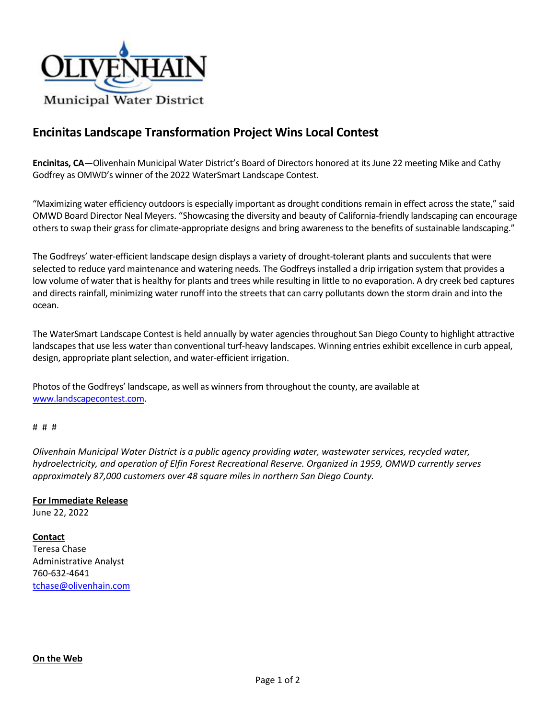

# **Encinitas Landscape Transformation Project Wins Local Contest**

**Encinitas, CA**—Olivenhain Municipal Water District's Board of Directors honored at its June 22 meeting Mike and Cathy Godfrey as OMWD's winner of the 2022 WaterSmart Landscape Contest.

"Maximizing water efficiency outdoors is especially important as drought conditions remain in effect across the state," said OMWD Board Director Neal Meyers. "Showcasing the diversity and beauty of California-friendly landscaping can encourage others to swap their grass for climate-appropriate designs and bring awareness to the benefits of sustainable landscaping."

The Godfreys' water-efficient landscape design displays a variety of drought-tolerant plants and succulents that were selected to reduce yard maintenance and watering needs. The Godfreys installed a drip irrigation system that provides a low volume of water that is healthy for plants and trees while resulting in little to no evaporation. A dry creek bed captures and directs rainfall, minimizing water runoff into the streets that can carry pollutants down the storm drain and into the ocean.

The WaterSmart Landscape Contest is held annually by water agencies throughout San Diego County to highlight attractive landscapes that use less water than conventional turf-heavy landscapes. Winning entries exhibit excellence in curb appeal, design, appropriate plant selection, and water-efficient irrigation.

Photos of the Godfreys' landscape, as well as winners from throughout the county, are available at [www.landscapecontest.com.](http://www.landscapecontest.com/)

#### # # #

*Olivenhain Municipal Water District is a public agency providing water, wastewater services, recycled water, hydroelectricity, and operation of Elfin Forest Recreational Reserve. Organized in 1959, OMWD currently serves approximately 87,000 customers over 48 square miles in northern San Diego County.*

### **For Immediate Release** June 22, 2022

### **Contact**

Teresa Chase Administrative Analyst 760-632-4641 [tchase@olivenhain.com](mailto:tchase@olivenhain.com)